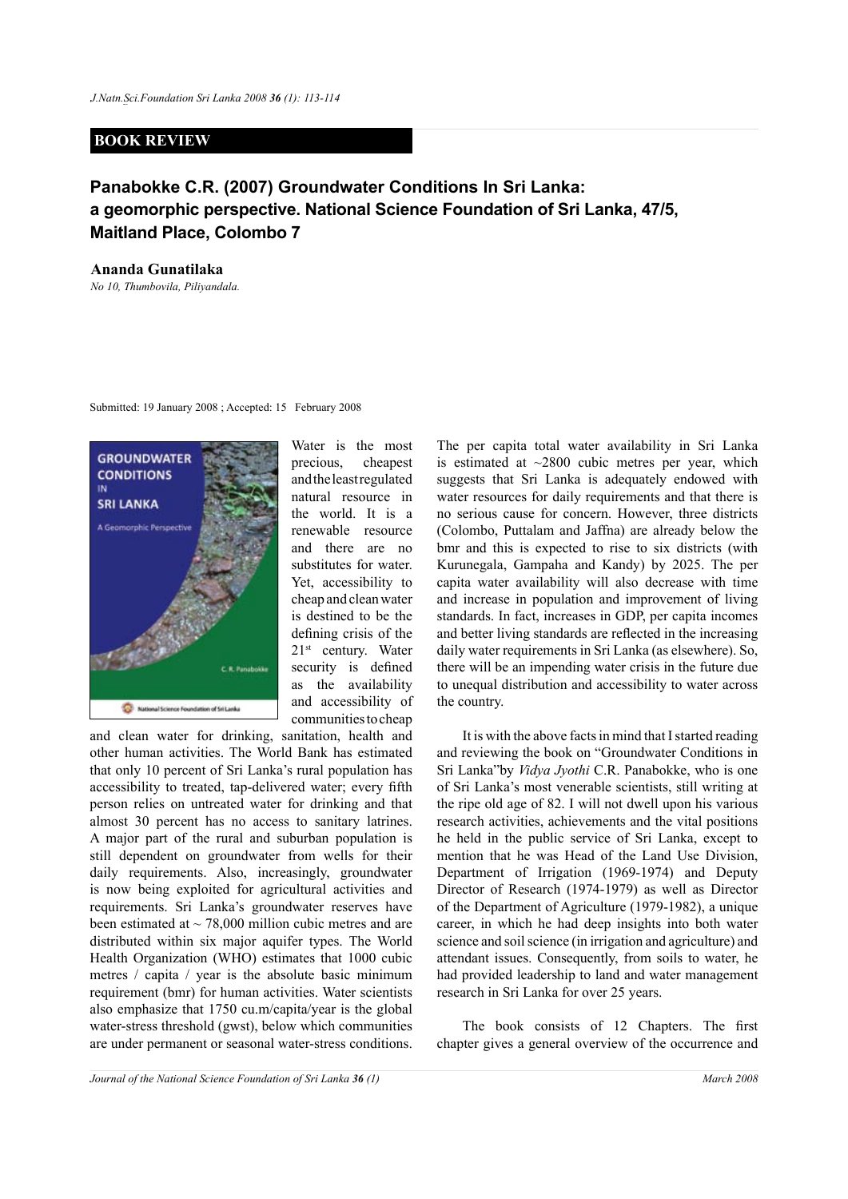## **BOOK REVIEW**

## **Panabokke C.R. (2007) Groundwater Conditions In Sri Lanka: a geomorphic perspective. National Science Foundation of Sri Lanka, 47/5, Maitland Place, Colombo 7**

## **Ananda Gunatilaka**

*No 10, Thumbovila, Piliyandala.*

Submitted: 19 January 2008 ; Accepted: 15 February 2008



Water is the most precious, cheapest and the least regulated natural resource in the world. It is a renewable resource and there are no substitutes for water. Yet, accessibility to cheap and clean water is destined to be the defining crisis of the  $21<sup>st</sup>$  century. Water security is defined as the availability and accessibility of communities to cheap

and clean water for drinking, sanitation, health and other human activities. The World Bank has estimated that only 10 percent of Sri Lanka's rural population has accessibility to treated, tap-delivered water; every fifth person relies on untreated water for drinking and that almost 30 percent has no access to sanitary latrines. A major part of the rural and suburban population is still dependent on groundwater from wells for their daily requirements. Also, increasingly, groundwater is now being exploited for agricultural activities and requirements. Sri Lanka's groundwater reserves have been estimated at  $\sim$  78,000 million cubic metres and are distributed within six major aquifer types. The World Health Organization (WHO) estimates that 1000 cubic metres / capita / year is the absolute basic minimum requirement (bmr) for human activities. Water scientists also emphasize that 1750 cu.m/capita/year is the global water-stress threshold (gwst), below which communities are under permanent or seasonal water-stress conditions.

The per capita total water availability in Sri Lanka is estimated at  $\sim$ 2800 cubic metres per year, which suggests that Sri Lanka is adequately endowed with water resources for daily requirements and that there is no serious cause for concern. However, three districts (Colombo, Puttalam and Jaffna) are already below the bmr and this is expected to rise to six districts (with Kurunegala, Gampaha and Kandy) by 2025. The per capita water availability will also decrease with time and increase in population and improvement of living standards. In fact, increases in GDP, per capita incomes and better living standards are reflected in the increasing daily water requirements in Sri Lanka (as elsewhere). So, there will be an impending water crisis in the future due to unequal distribution and accessibility to water across the country.

It is with the above facts in mind that I started reading and reviewing the book on "Groundwater Conditions in Sri Lanka"by *Vidya Jyothi* C.R. Panabokke, who is one of Sri Lanka's most venerable scientists, still writing at the ripe old age of 82. I will not dwell upon his various research activities, achievements and the vital positions he held in the public service of Sri Lanka, except to mention that he was Head of the Land Use Division, Department of Irrigation (1969-1974) and Deputy Director of Research (1974-1979) as well as Director of the Department of Agriculture (1979-1982), a unique career, in which he had deep insights into both water science and soil science (in irrigation and agriculture) and attendant issues. Consequently, from soils to water, he had provided leadership to land and water management research in Sri Lanka for over 25 years.

The book consists of 12 Chapters. The first chapter gives a general overview of the occurrence and